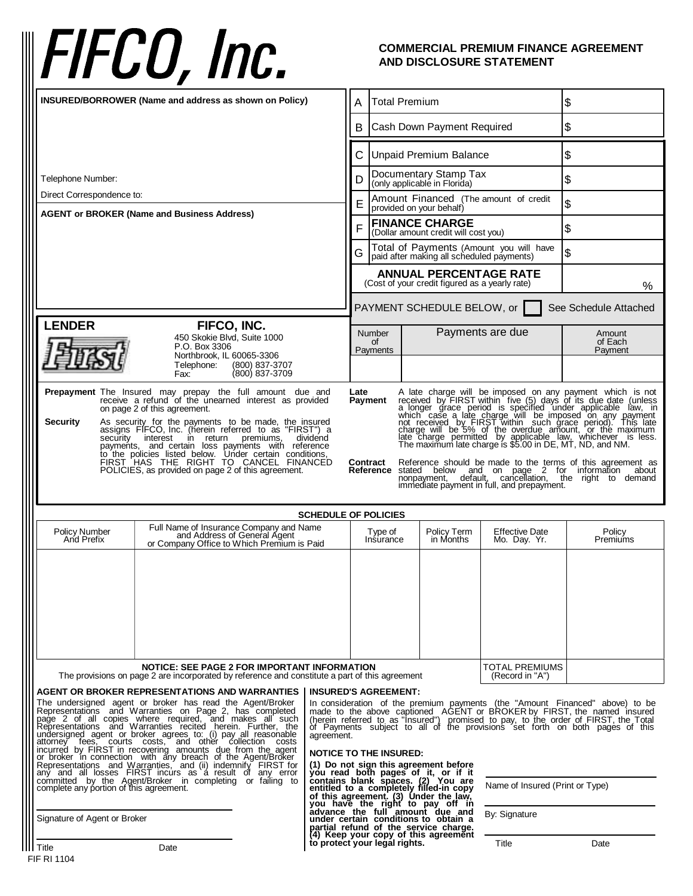## FIFCO, Inc.

## **COMMERCIAL PREMIUM FINANCE AGREEMENT AND DISCLOSURE STATEMENT**

| INSURED/BORROWER (Name and address as shown on Policy)                                                                                                                                                                                                                                                                                                                                                                                                                                                                                                                                                                                                                                                                                                                                                                                                                                                                                                                                                                                                                                                                                       |                                                                                                                                                                                                                                                                                                                                                                                                                                                                                                                                                                                                                                                                                                                                                                                        | <b>Total Premium</b><br>Α                                          |                                                                                      | \$                                    |                              |
|----------------------------------------------------------------------------------------------------------------------------------------------------------------------------------------------------------------------------------------------------------------------------------------------------------------------------------------------------------------------------------------------------------------------------------------------------------------------------------------------------------------------------------------------------------------------------------------------------------------------------------------------------------------------------------------------------------------------------------------------------------------------------------------------------------------------------------------------------------------------------------------------------------------------------------------------------------------------------------------------------------------------------------------------------------------------------------------------------------------------------------------------|----------------------------------------------------------------------------------------------------------------------------------------------------------------------------------------------------------------------------------------------------------------------------------------------------------------------------------------------------------------------------------------------------------------------------------------------------------------------------------------------------------------------------------------------------------------------------------------------------------------------------------------------------------------------------------------------------------------------------------------------------------------------------------------|--------------------------------------------------------------------|--------------------------------------------------------------------------------------|---------------------------------------|------------------------------|
|                                                                                                                                                                                                                                                                                                                                                                                                                                                                                                                                                                                                                                                                                                                                                                                                                                                                                                                                                                                                                                                                                                                                              |                                                                                                                                                                                                                                                                                                                                                                                                                                                                                                                                                                                                                                                                                                                                                                                        | <b>Cash Down Payment Required</b><br>В                             |                                                                                      |                                       | \$                           |
|                                                                                                                                                                                                                                                                                                                                                                                                                                                                                                                                                                                                                                                                                                                                                                                                                                                                                                                                                                                                                                                                                                                                              |                                                                                                                                                                                                                                                                                                                                                                                                                                                                                                                                                                                                                                                                                                                                                                                        | <b>Unpaid Premium Balance</b><br>C                                 |                                                                                      |                                       | \$                           |
| Telephone Number:                                                                                                                                                                                                                                                                                                                                                                                                                                                                                                                                                                                                                                                                                                                                                                                                                                                                                                                                                                                                                                                                                                                            |                                                                                                                                                                                                                                                                                                                                                                                                                                                                                                                                                                                                                                                                                                                                                                                        | Documentary Stamp Tax<br>D<br>(only applicable in Florida)         |                                                                                      | \$                                    |                              |
| Direct Correspondence to:<br><b>AGENT or BROKER (Name and Business Address)</b>                                                                                                                                                                                                                                                                                                                                                                                                                                                                                                                                                                                                                                                                                                                                                                                                                                                                                                                                                                                                                                                              |                                                                                                                                                                                                                                                                                                                                                                                                                                                                                                                                                                                                                                                                                                                                                                                        | Amount Financed (The amount of credit<br>provided on your behalf)  |                                                                                      | \$                                    |                              |
|                                                                                                                                                                                                                                                                                                                                                                                                                                                                                                                                                                                                                                                                                                                                                                                                                                                                                                                                                                                                                                                                                                                                              |                                                                                                                                                                                                                                                                                                                                                                                                                                                                                                                                                                                                                                                                                                                                                                                        | <b>FINANCE CHARGE</b><br>F<br>(Dollar amount credit will cost you) |                                                                                      | $\boldsymbol{\theta}$                 |                              |
|                                                                                                                                                                                                                                                                                                                                                                                                                                                                                                                                                                                                                                                                                                                                                                                                                                                                                                                                                                                                                                                                                                                                              | G                                                                                                                                                                                                                                                                                                                                                                                                                                                                                                                                                                                                                                                                                                                                                                                      |                                                                    | Total of Payments (Amount you will have<br>paid after making all scheduled payments) |                                       | \$                           |
|                                                                                                                                                                                                                                                                                                                                                                                                                                                                                                                                                                                                                                                                                                                                                                                                                                                                                                                                                                                                                                                                                                                                              |                                                                                                                                                                                                                                                                                                                                                                                                                                                                                                                                                                                                                                                                                                                                                                                        |                                                                    | <b>ANNUAL PERCENTAGE RATE</b><br>(Cost of your credit figured as a yearly rate)      |                                       | %                            |
|                                                                                                                                                                                                                                                                                                                                                                                                                                                                                                                                                                                                                                                                                                                                                                                                                                                                                                                                                                                                                                                                                                                                              |                                                                                                                                                                                                                                                                                                                                                                                                                                                                                                                                                                                                                                                                                                                                                                                        |                                                                    | PAYMENT SCHEDULE BELOW, or                                                           |                                       | See Schedule Attached        |
| <b>LENDER</b><br>FIFCO, INC.<br>450 Skokie Blvd, Suite 1000<br>P.O. Box 3306<br>Northbrook, IL 60065-3306                                                                                                                                                                                                                                                                                                                                                                                                                                                                                                                                                                                                                                                                                                                                                                                                                                                                                                                                                                                                                                    |                                                                                                                                                                                                                                                                                                                                                                                                                                                                                                                                                                                                                                                                                                                                                                                        | Number<br>0f<br>Payments                                           |                                                                                      | Payments are due                      | Amount<br>of Each<br>Payment |
| Telephone:<br>(800) 837-3707<br>(800) 837-3709<br>Fax:                                                                                                                                                                                                                                                                                                                                                                                                                                                                                                                                                                                                                                                                                                                                                                                                                                                                                                                                                                                                                                                                                       |                                                                                                                                                                                                                                                                                                                                                                                                                                                                                                                                                                                                                                                                                                                                                                                        |                                                                    |                                                                                      |                                       |                              |
| Prepayment The Insured may prepay the full amount due and<br>receive a refund of the unearned interest as provided<br>Late<br>A late charge will be imposed on any payment which is not<br>A late charge will be imposed on any payment which is not<br>a longer grace period is specified under applicable law, in<br>which case a late charge will be imposed on any payment<br>not received by FIRST within such grace period.<br>Payment<br>on page 2 of this agreement.<br><b>Security</b><br>As security for the payments to be made, the insured<br>assigns FIFCO, Inc. (herein referred to as "FIRST") a<br>security interest in return<br>premiums,<br>dividend<br>payments, and certain loss payments with reference<br>to the policies listed below. Under certain conditions,<br>FIRST HAS THE RIGHT TO CANCEL FINANCED<br>Reference should be made to the terms of this agreement as<br>Contract<br>Reference stated below and on page 2 for information<br>POLICIES, as provided on page 2 of this agreement.<br>about<br>nonpayment, default, cancellation, the right to demand<br>immediate payment in full, and prepayment. |                                                                                                                                                                                                                                                                                                                                                                                                                                                                                                                                                                                                                                                                                                                                                                                        |                                                                    |                                                                                      |                                       |                              |
| <b>SCHEDULE OF POLICIES</b>                                                                                                                                                                                                                                                                                                                                                                                                                                                                                                                                                                                                                                                                                                                                                                                                                                                                                                                                                                                                                                                                                                                  |                                                                                                                                                                                                                                                                                                                                                                                                                                                                                                                                                                                                                                                                                                                                                                                        |                                                                    |                                                                                      |                                       |                              |
| Full Name of Insurance Company and Name<br>and Address of General Agent<br>or Company Office to Which Premium is Paid<br><b>Policy Number</b><br>And Prefix                                                                                                                                                                                                                                                                                                                                                                                                                                                                                                                                                                                                                                                                                                                                                                                                                                                                                                                                                                                  |                                                                                                                                                                                                                                                                                                                                                                                                                                                                                                                                                                                                                                                                                                                                                                                        | Type of<br>Insurance                                               | Policy Term<br>in Months                                                             | <b>Effective Date</b><br>Mo. Day. Yr. | Policy<br>Premiums           |
| NOTICE: SEE PAGE 2 FOR IMPORTANT INFORMATION                                                                                                                                                                                                                                                                                                                                                                                                                                                                                                                                                                                                                                                                                                                                                                                                                                                                                                                                                                                                                                                                                                 |                                                                                                                                                                                                                                                                                                                                                                                                                                                                                                                                                                                                                                                                                                                                                                                        |                                                                    |                                                                                      | TOTAL PREMIUMS                        |                              |
| The provisions on page 2 are incorporated by reference and constitute a part of this agreement                                                                                                                                                                                                                                                                                                                                                                                                                                                                                                                                                                                                                                                                                                                                                                                                                                                                                                                                                                                                                                               |                                                                                                                                                                                                                                                                                                                                                                                                                                                                                                                                                                                                                                                                                                                                                                                        |                                                                    |                                                                                      | (Record in "A")                       |                              |
| <b>AGENT OR BROKER REPRESENTATIONS AND WARRANTIES</b><br>The undersigned agent or broker has read the Agent/Broker<br>Representations and Warranties on Page 2, has completed<br>page 2 of all copies where required, and makes all such<br>Representations and Warranties recited herein. Further, the<br>undersigned agent or broker agrees to: (i) pay all reasonable<br>attorney fees, courts costs, and other collection costs<br>incurred by FIRST in recovering amounts due from the agent<br>or broker in connection, with any breach of the Agent/Broker<br>Representations and Warranties, and (ii) indemnify FIRST for<br>any and all losses FIRST incurs as a result of any error<br>committed by the Agent/Broker in completing or failing to complete any portion of this agreement.                                                                                                                                                                                                                                                                                                                                           | <b>INSURED'S AGREEMENT:</b><br>In consideration of the premium payments (the "Amount Financed" above) to be<br>made to the above captioned AGENT or BROKER by FIRST, the named insured<br>(herein referred to as "Insured") promised to pay, to the order of FIRST, the Total of Payments subject to all of the provisions set forth on both pages of this<br>agreement.<br><b>NOTICE TO THE INSURED:</b><br>(1) Do not sign this agreement before<br>you read both pages of it, or if it<br>contains blank spaces. (2) You are<br>entitled to a completely filled-in copy<br>Name of Insured (Print or Type)<br>of this agreement. (3) Under the law,<br>you have the right to pay off in<br>advance the full amount due and<br>under certain conditions to obtain a<br>By: Signature |                                                                    |                                                                                      |                                       |                              |
| Signature of Agent or Broker                                                                                                                                                                                                                                                                                                                                                                                                                                                                                                                                                                                                                                                                                                                                                                                                                                                                                                                                                                                                                                                                                                                 | partial refund of the service charge.<br>(4) Keep your copy of this agreement                                                                                                                                                                                                                                                                                                                                                                                                                                                                                                                                                                                                                                                                                                          |                                                                    |                                                                                      |                                       |                              |
| II Title<br>Date<br>FIF RI 1104                                                                                                                                                                                                                                                                                                                                                                                                                                                                                                                                                                                                                                                                                                                                                                                                                                                                                                                                                                                                                                                                                                              | to protect your legal rights.                                                                                                                                                                                                                                                                                                                                                                                                                                                                                                                                                                                                                                                                                                                                                          |                                                                    |                                                                                      | Title                                 | Date                         |
|                                                                                                                                                                                                                                                                                                                                                                                                                                                                                                                                                                                                                                                                                                                                                                                                                                                                                                                                                                                                                                                                                                                                              |                                                                                                                                                                                                                                                                                                                                                                                                                                                                                                                                                                                                                                                                                                                                                                                        |                                                                    |                                                                                      |                                       |                              |